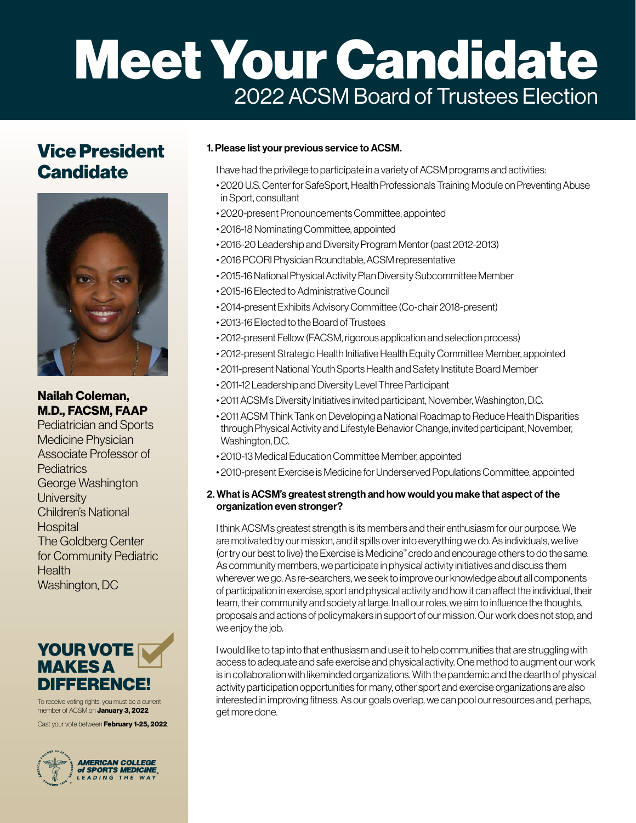# Meet Your Candidate 2022 ACSM Board of Trustees Election

## Vice President **Candidate**



### Nailah Coleman, M.D., FACSM, FAAP

Pediatrician and Sports Medicine Physician Associate Professor of **Pediatrics** George Washington **University** Children's National **Hospital** The Goldberg Center for Community Pediatric **Health** Washington, DC

## YOUR VOTE MAKES A DIFFERENCE!

To receive voting rights, you must be a current member of ACSM on **January 3, 2022**.

Cast your vote between **February 1-25, 2022**.

**AMERICAN COLLEGE** of SPORTS MEDICINE LEADING THE WAY

#### 1. Please list your previous service to ACSM.

I have had the privilege to participate in a variety of ACSM programs and activities:

- 2020 U.S. Center for SafeSport, Health Professionals Training Module on Preventing Abuse in Sport, consultant
- 2020-present Pronouncements Committee, appointed
- 2016-18 Nominating Committee, appointed
- 2016-20 Leadership and Diversity Program Mentor (past 2012-2013)
- 2016 PCORI Physician Roundtable, ACSM representative
- 2015-16 National Physical Activity Plan Diversity Subcommittee Member
- 2015-16 Elected to Administrative Council
- 2014-present Exhibits Advisory Committee (Co-chair 2018-present)
- 2013-16 Elected to the Board of Trustees
- 2012-present Fellow (FACSM, rigorous application and selection process)
- 2012-present Strategic Health Initiative Health Equity Committee Member, appointed
- 2011-present National Youth Sports Health and Safety Institute Board Member
- 2011-12 Leadership and Diversity Level Three Participant
- 2011 ACSM's Diversity Initiatives invited participant, November, Washington, D.C.
- 2011 ACSM Think Tank on Developing a National Roadmap to Reduce Health Disparities through Physical Activity and Lifestyle Behavior Change, invited participant, November, Washington, D.C.
- 2010-13 Medical Education Committee Member, appointed
- 2010-present Exercise is Medicine for Underserved Populations Committee, appointed

#### 2. What is ACSM's greatest strength and how would you make that aspect of the organization even stronger?

I think ACSM's greatest strength is its members and their enthusiasm for our purpose. We are motivated by our mission, and it spills over into everything we do. As individuals, we live (or try our best to live) the Exercise is Medicine® credo and encourage others to do the same. As community members, we participate in physical activity initiatives and discuss them wherever we go. As re-searchers, we seek to improve our knowledge about all components of participation in exercise, sport and physical activity and how it can affect the individual, their team, their community and society at large. In all our roles, we aim to influence the thoughts, proposals and actions of policymakers in support of our mission. Our work does not stop, and we enjoy the job.

I would like to tap into that enthusiasm and use it to help communities that are struggling with access to adequate and safe exercise and physical activity. One method to augment our work is in collaboration with likeminded organizations. With the pandemic and the dearth of physical activity participation opportunities for many, other sport and exercise organizations are also interested in improving fitness. As our goals overlap, we can pool our resources and, perhaps, get more done.